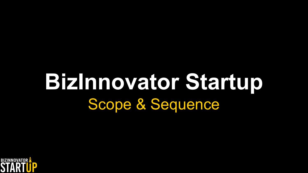# **BizInnovator Startup** Scope & Sequence

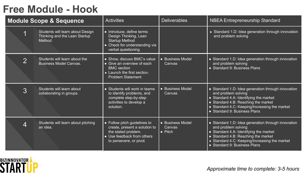## **Free Module - Hook**

|                | Module Scope & Sequence                                                      | <b>Activities</b>                                                                                                                             | <b>Deliverables</b>                           | <b>NBEA Entrepreneurship Standard</b>                                                                                                                                                                                                       |
|----------------|------------------------------------------------------------------------------|-----------------------------------------------------------------------------------------------------------------------------------------------|-----------------------------------------------|---------------------------------------------------------------------------------------------------------------------------------------------------------------------------------------------------------------------------------------------|
|                | Students will learn about Design<br>Thinking and the Lean Startup<br>Method. | • Introduce, define terms<br>Design Thinking, Lean<br><b>Startup Method</b><br>• Check for understanding via<br>verbal questioning            |                                               | • Standard 1.D: Idea generation through innovation<br>and problem solving                                                                                                                                                                   |
| $\overline{2}$ | Students will learn about the<br><b>Business Model Canvas.</b>               | • Show, discuss BMC's value<br>• Give an overview of each<br><b>BMC</b> section<br>• Launch the first section:<br><b>Problem Statement</b>    | • Business Model<br>Canvas                    | • Standard 1.D: Idea generation through innovation<br>and problem solving<br>• Standard 9: Business Plans                                                                                                                                   |
| 3              | Students will learn about<br>collaborating in groups.                        | • Students will work in teams<br>to identify problems, and<br>complete step-by-step<br>activities to develop a<br>solution.                   | • Business Model<br><b>Canvas</b>             | • Standard 1.D: Idea generation through innovation<br>and problem solving<br>• Standard 4.A: Identifying the market<br>• Standard 4.B: Reaching the market<br>• Standard 4.C: Keeping/Increasing the market<br>• Standard 9: Business Plans |
| 4              | Students will learn about pitching<br>an idea.                               | • Follow pitch guidelines to<br>create, present a solution to<br>the stated problem.<br>• Use feedback from others<br>to persevere, or pivot. | • Business Model<br>Canvas<br>$\bullet$ Pitch | • Standard 1.D: Idea generation through innovation<br>and problem solving<br>• Standard 4.A: Identifying the market<br>• Standard 4.B: Reaching the market<br>• Standard 4.C: Keeping/Increasing the market<br>• Standard 9: Business Plans |

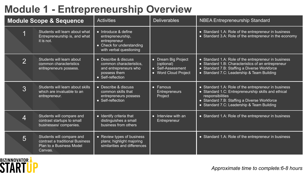### **Module 1 - Entrepreneurship Overview**

| <b>Module Scope &amp; Sequence</b> |                                                                                                     | <b>Activities</b>                                                                                                 | <b>Deliverables</b>                                                                 | <b>NBEA Entrepreneurship Standard</b>                                                                                                                                                                                         |
|------------------------------------|-----------------------------------------------------------------------------------------------------|-------------------------------------------------------------------------------------------------------------------|-------------------------------------------------------------------------------------|-------------------------------------------------------------------------------------------------------------------------------------------------------------------------------------------------------------------------------|
|                                    | Students will learn about what<br>Entrepreneurship is, and what<br>it is not.                       | • Introduce & define<br>entrepreneurship,<br>entrepreneur<br>• Check for understanding<br>with verbal questioning |                                                                                     | • Standard 1.A: Role of the entrepreneur in business<br>• Standard 3.A: Role of the entrepreneur in the economy                                                                                                               |
| $\overline{2}$                     | Students will learn about<br>common characteristics<br>entrepreneurs possess.                       | • Describe & discuss<br>common characteristics,<br>and entrepreneurs who<br>possess them<br>• Self-reflection     | • Dream Big Project<br>(optional)<br>• Self-Assessment<br><b>Word Cloud Project</b> | • Standard 1.A: Role of the entrepreneur in business<br>• Standard 1.B: Characteristics of an entrepreneur<br>• Standard 7.B: Staffing a Diverse Workforce<br>• Standard 7.C: Leadership & Team Building                      |
| 3                                  | Students will learn about skills<br>which are invaluable to an<br>entrepreneur.                     | • Describe & discuss<br>common skills that<br>entrepreneurs possess<br>$\bullet$ Self-reflection                  | • Famous<br><b>Entrepreneurs</b><br>Project                                         | • Standard 1.A: Role of the entrepreneur in business<br>• Standard 1.C: Entrepreneurship skills and ethical<br>responsibilities<br>• Standard 7.B: Staffing a Diverse Workforce<br>• Standard 7.C: Leadership & Team Building |
| 4                                  | Students will compare and<br>contrast startups to small<br>businesses/companies.                    | • Identify criteria that<br>distinguishes a small<br>business from others                                         | $\bullet$ Interview with an<br>Entrepreneur                                         | • Standard 1.A: Role of the entrepreneur in business                                                                                                                                                                          |
| 5                                  | Students will compare and<br>contrast a traditional Business<br>Plan to a Business Model<br>Canvas. | • Review types of business<br>plans; highlight majoring<br>similarities and differences                           |                                                                                     | • Standard 1.A: Role of the entrepreneur in business                                                                                                                                                                          |

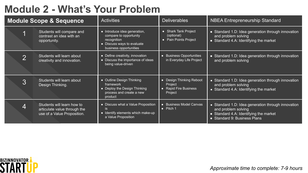# **Module 2 - What's Your Problem**

| <b>Module Scope &amp; Sequence</b> |                                                                                           | <b>Activities</b>                                                                                                             | <b>Deliverables</b>                                                     | <b>NBEA Entrepreneurship Standard</b>                                                                                                               |
|------------------------------------|-------------------------------------------------------------------------------------------|-------------------------------------------------------------------------------------------------------------------------------|-------------------------------------------------------------------------|-----------------------------------------------------------------------------------------------------------------------------------------------------|
|                                    | Students will compare and<br>contrast an idea with an<br>opportunity.                     | • Introduce idea generation,<br>compare to opportunity<br>recognition<br>• Discuss ways to evaluate<br>business opportunities | • Shark Tank Project<br>(optional)<br>• Pain Points Project             | • Standard 1.D: Idea generation through innovation<br>and problem solving<br>• Standard 4.A: Identifying the market                                 |
| ⌒                                  | Students will learn about<br>creativity and innovation.                                   | • Define creativity, innovation<br>• Discuss the importance of ideas<br>being value-driven                                    | <b>Business Opportunities</b><br>$\bullet$<br>in Everyday Life Project  | • Standard 1.D: Idea generation through innovation<br>and problem solving                                                                           |
| 3                                  | Students will learn about<br>Design Thinking.                                             | • Outline Design Thinking<br>framework<br>• Deploy the Design Thinking<br>process and create a new<br>product                 | • Design Thinking Reboot<br>Project<br>• Rapid Fire Business<br>Project | • Standard 1.D: Idea generation through innovation<br>and problem solving<br>• Standard 4.A: Identifying the market                                 |
| 4                                  | Students will learn how to<br>articulate value through the<br>use of a Value Proposition. | • Discuss what a Value Proposition<br>is<br>• Identify elements which make-up<br>a Value Proposition                          | • Business Model Canvas<br>$\bullet$ Pitch 1                            | • Standard 1.D: Idea generation through innovation<br>and problem solving<br>• Standard 4.A: Identifying the market<br>• Standard 9: Business Plans |



*Approximate time to complete: 7-9 hours*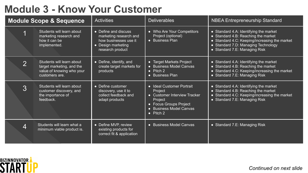# **Module 3 - Know Your Customer**

| <b>Module Scope &amp; Sequence</b> |                                                                                                       | <b>Activities</b>                                                                                                 | <b>Deliverables</b>                                                                                                                                                         | <b>NBEA Entrepreneurship Standard</b>                                                                                                                                                                  |
|------------------------------------|-------------------------------------------------------------------------------------------------------|-------------------------------------------------------------------------------------------------------------------|-----------------------------------------------------------------------------------------------------------------------------------------------------------------------------|--------------------------------------------------------------------------------------------------------------------------------------------------------------------------------------------------------|
|                                    | Students will learn about<br>marketing research and<br>how it can be<br>implemented.                  | • Define and discuss<br>marketing research and<br>how businesses use it<br>• Design marketing<br>research product | • Who Are Your Competitors<br>Project (optional)<br>• Business Plan                                                                                                         | • Standard 4.A: Identifying the market<br>• Standard 4.B: Reaching the market<br>• Standard 4.C: Keeping/increasing the market<br>• Standard 7.D: Managing Technology<br>• Standard 7.E: Managing Risk |
| $\overline{2}$                     | Students will learn about<br>target marketing, and the<br>value of knowing who your<br>customers are. | • Define, identify, and<br>create target markets for<br>products                                                  | Target Markets Project<br>• Business Model Canvas<br>$\bullet$ Pitch 2<br>• Business Plan                                                                                   | • Standard 4.A: Identifying the market<br>• Standard 4.B: Reaching the market<br>• Standard 4.C: Keeping/increasing the market<br>• Standard 7.E: Managing Risk                                        |
| 3                                  | Students will learn about<br>customer discovery, and<br>the importance of<br>feedback.                | • Define customer<br>discovery, use it to<br>collect feedback and<br>adapt products                               | <b>Ideal Customer Portrait</b><br>$\bullet$<br>Project<br>• Customer Interview Tracker<br>Project<br>• Focus Groups Project<br>• Business Model Canvas<br>$\bullet$ Pitch 2 | • Standard 4.A: Identifying the market<br>• Standard 4.B: Reaching the market<br>• Standard 4.C: Keeping/increasing the market<br>• Standard 7.E: Managing Risk                                        |
| $\overline{4}$                     | Students will learn what a<br>minimum viable product is.                                              | • Define MVP, review<br>existing products for<br>correct fit & application                                        | • Business Model Canvas                                                                                                                                                     | • Standard 7.E: Managing Risk                                                                                                                                                                          |

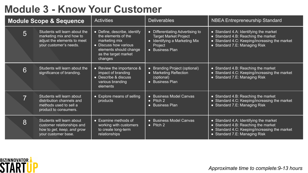# **Module 3 - Know Your Customer**

| <b>Module Scope &amp; Sequence</b> |                                                                                                                    | <b>Activities</b>                                                                                                                                          | <b>Deliverables</b>                                                                                                             | <b>NBEA Entrepreneurship Standard</b>                                                                                                                           |
|------------------------------------|--------------------------------------------------------------------------------------------------------------------|------------------------------------------------------------------------------------------------------------------------------------------------------------|---------------------------------------------------------------------------------------------------------------------------------|-----------------------------------------------------------------------------------------------------------------------------------------------------------------|
| 5                                  | Students will learn about the<br>marketing mix and how to<br>adjust the elements to meet<br>your customer's needs. | • Define, describe, identify<br>the elements of the<br>marketing mix<br>• Discuss how various<br>elements should change<br>as the target market<br>changes | • Differentiating Advertising to<br><b>Target Market Project</b><br>• Identifying a Marketing Mix<br>Project<br>• Business Plan | • Standard 4.A: Identifying the market<br>• Standard 4.B: Reaching the market<br>• Standard 4.C: Keeping/increasing the market<br>• Standard 7.E: Managing Risk |
| 6                                  | Students will learn about the<br>significance of branding.                                                         | • Review the importance &<br>impact of branding<br>• Describe & discuss<br>various branding<br>elements                                                    | • Branding Project (optional)<br>• Marketing Reflection<br>(optional)<br><b>Business Plan</b><br>$\bullet$                      | • Standard 4.B: Reaching the market<br>• Standard 4.C: Keeping/increasing the market<br>• Standard 7.E: Managing Risk                                           |
| $\overline{\phantom{a}}$           | Students will learn about<br>distribution channels and<br>methods used to sell a<br>product to consumers.          | • Explore means of selling<br>products                                                                                                                     | • Business Model Canvas<br>$\bullet$ Pitch 2<br><b>Business Plan</b>                                                            | • Standard 4.B: Reaching the market<br>• Standard 4.C: Keeping/increasing the market<br>• Standard 7.E: Managing Risk                                           |
| 8                                  | Students will learn about<br>customer relationships and<br>how to get, keep, and grow<br>your customer base.       | $\bullet$ Examine methods of<br>working with customers<br>to create long-term<br>relationships                                                             | • Business Model Canvas<br>$\bullet$ Pitch 2                                                                                    | • Standard 4.A: Identifying the market<br>• Standard 4.B: Reaching the market<br>• Standard 4.C: Keeping/increasing the market<br>• Standard 7.E: Managing Risk |

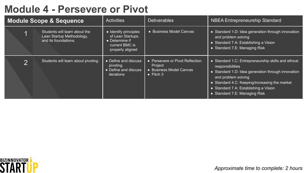### **Module 4 - Persevere or Pivot**

| <b>Module Scope &amp; Sequence</b> |                                                                                    | <b>Activities</b>                                                                                  | <b>Deliverables</b>                                                                        | <b>NBEA Entrepreneurship Standard</b>                                                                                                                                                                                                                                           |
|------------------------------------|------------------------------------------------------------------------------------|----------------------------------------------------------------------------------------------------|--------------------------------------------------------------------------------------------|---------------------------------------------------------------------------------------------------------------------------------------------------------------------------------------------------------------------------------------------------------------------------------|
|                                    | Students will learn about the<br>Lean Startup Methodology,<br>and its foundations. | • Identify principles<br>of Lean Startups.<br>• Determine if<br>current BMC is<br>properly aligned | • Business Model Canvas                                                                    | • Standard 1.D: Idea generation through innovation<br>and problem solving<br>· Standard 7.A: Establishing a Vision<br>• Standard 7.E: Managing Risk                                                                                                                             |
| ⌒                                  | Students will learn about pivoting.                                                | • Define and discuss<br>pivoting.<br>• Define and discuss<br>iterations                            | • Persevere or Pivot Reflection<br>Project<br>• Business Model Canvas<br>$\bullet$ Pitch 3 | • Standard 1.C: Entrepreneurship skills and ethical<br>responsibilities<br>• Standard 1.D: Idea generation through innovation<br>and problem solving<br>• Standard 4.C: Keeping/increasing the market<br>• Standard 7.A: Establishing a Vision<br>• Standard 7.E: Managing Risk |



*Approximate time to complete: 2 hours*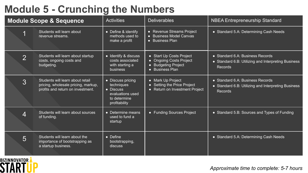# **Module 5 - Crunching the Numbers**

| <b>Module Scope &amp; Sequence</b> |                                                                                                              | <b>Activities</b>                                                                                        | <b>Deliverables</b>                                                                                | <b>NBEA Entrepreneurship Standard</b>                                                              |
|------------------------------------|--------------------------------------------------------------------------------------------------------------|----------------------------------------------------------------------------------------------------------|----------------------------------------------------------------------------------------------------|----------------------------------------------------------------------------------------------------|
|                                    | Students will learn about<br>revenue streams.                                                                | • Define & identify<br>methods used to<br>make a profit                                                  | <b>Revenue Streams Project</b><br>• Business Model Canvas<br>• Business Plan                       | • Standard 5.A: Determining Cash Needs                                                             |
| $\overline{2}$                     | Students will learn about startup<br>costs, ongoing costs and<br>budgeting.                                  | • Identify & discuss<br>costs associated<br>with starting a<br>business                                  | • Start Up Costs Project<br>• Ongoing Costs Project<br><b>Budgeting Project</b><br>• Business Plan | • Standard 6.A: Business Records<br>• Standard 6.B: Utilizing and Interpreting Business<br>Records |
| 3                                  | Students will learn about retail<br>pricing, wholesale pricing, markup,<br>profits and return on investment. | • Discuss pricing<br><b>techniques</b><br>• Discuss<br>evaluations used<br>to determine<br>profitability | • Mark Up Project<br>• Setting the Price Project<br>Return on Investment Project                   | • Standard 6.A: Business Records<br>• Standard 6.B: Utilizing and Interpreting Business<br>Records |
| $\overline{4}$                     | Students will learn about sources<br>of funding.                                                             | • Determine means<br>used to fund a<br>startup                                                           | • Funding Sources Project                                                                          | • Standard 5.B: Sources and Types of Funding                                                       |
| 5                                  | Students will learn about the<br>importance of bootstrapping as<br>a startup business.                       | $\bullet$ Define<br>bootstrapping,<br>discuss                                                            |                                                                                                    | • Standard 5.A: Determining Cash Needs                                                             |

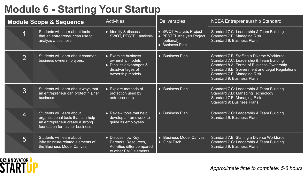## **Module 6 - Starting Your Startup**

| <b>Module Scope &amp; Sequence</b> |                                                                                                                                        | <b>Activities</b>                                                                                                | <b>Deliverables</b>                                                                   | <b>NBEA Entrepreneurship Standard</b>                                                                                                                                                                                                                     |
|------------------------------------|----------------------------------------------------------------------------------------------------------------------------------------|------------------------------------------------------------------------------------------------------------------|---------------------------------------------------------------------------------------|-----------------------------------------------------------------------------------------------------------------------------------------------------------------------------------------------------------------------------------------------------------|
|                                    | Students will learn about tools<br>that an entrepreneur can use to<br>analyze a business.                                              | • Identify & discuss<br>SWOT, PESTEL analysis                                                                    | • SWOT Analysis Project<br>• PESTEL Analysis Project<br>(optional)<br>• Business Plan | Standard 7.C: Leadership & Team Building<br>Standard 7.E: Managing Risk<br>Standard 9: Business Plans                                                                                                                                                     |
| $\overline{2}$                     | Students will learn about common<br>business ownership types.                                                                          | $\bullet$ Examine business<br>ownership models<br>• Discuss advantages &<br>disadvantages of<br>ownership models | • Business Plan                                                                       | Standard 7.B: Staffing a Diverse Workforce<br>Standard 7.C: Leadership & Team Building<br>Standard 8.A: Forms of Business Ownership<br>Standard 8.B: Government and Legal Regulations<br>Standard 7.E: Managing Risk<br><b>Standard 9: Business Plans</b> |
| 3                                  | Students will learn about ways that<br>an entrepreneur can protect his/her<br>business.                                                | • Explore methods of<br>protection used by<br>entrepreneurs                                                      | • Business Plan                                                                       | Standard 7.C: Leadership & Team Building<br>Standard 7.D: Managing Technology<br>Standard 7.E: Managing Risk<br><b>Standard 9: Business Plans</b>                                                                                                         |
| 4                                  | Students will learn about<br>organizational tools that can help<br>an entrepreneur create a strong<br>foundation for his/her business. | • Review tools that help<br>develop a framework to<br>guide its employees                                        | • Business Plan                                                                       | Standard 7.C: Leadership & Team Building<br>Standard 9: Business Plans                                                                                                                                                                                    |
| 5                                  | Students will learn about<br>infrastructure-related elements of<br>the Business Model Canvas.                                          | • Discuss how Key<br>Partners, Resources,<br>Activities differ compared<br>to other BMC elements                 | • Business Model Canvas<br>$\bullet$ Final Pitch                                      | Standard 7.B: Staffing a Diverse Workforce<br>Standard 7.C: Leadership & Team Building<br>Standard 9: Business Plans                                                                                                                                      |